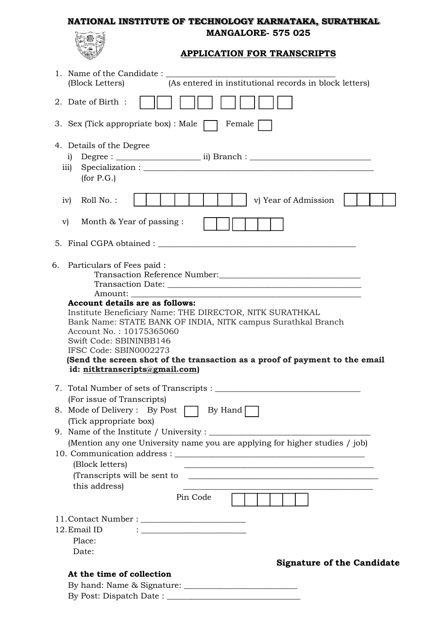#### **NATIONAL INSTITUTE OF TECHNOLOGY KARNATAKA, SURATHKAL MANGALORE- 575 025**



# **APPLICATION FOR TRANSCRIPTS**

| (As entered in institutional records in block letters)<br>(Block Letters)                                                                                                                                                                                                                                                                                                                                                                            |
|------------------------------------------------------------------------------------------------------------------------------------------------------------------------------------------------------------------------------------------------------------------------------------------------------------------------------------------------------------------------------------------------------------------------------------------------------|
| 2. Date of Birth :                                                                                                                                                                                                                                                                                                                                                                                                                                   |
| 3. Sex (Tick appropriate box) : Male $\lceil$<br>Female                                                                                                                                                                                                                                                                                                                                                                                              |
| 4. Details of the Degree<br>$\mathbf{i}$<br>111)<br>for P.G.                                                                                                                                                                                                                                                                                                                                                                                         |
| v) Year of Admission<br>Roll No.:<br>iv)                                                                                                                                                                                                                                                                                                                                                                                                             |
| Month & Year of passing :<br>$\mathbf{v}$                                                                                                                                                                                                                                                                                                                                                                                                            |
|                                                                                                                                                                                                                                                                                                                                                                                                                                                      |
| Particulars of Fees paid:<br>6.<br>Transaction Reference Number:<br><u> </u><br><b>Account details are as follows:</b><br>Institute Beneficiary Name: THE DIRECTOR, NITK SURATHKAL<br>Bank Name: STATE BANK OF INDIA, NITK campus Surathkal Branch<br>Account No.: 10175365060<br>Swift Code: SBININBB146<br>IFSC Code: SBIN0002273<br>(Send the screen shot of the transaction as a proof of payment to the email<br>id: nitktranscripts@gmail.com) |
| (For issue of Transcripts)                                                                                                                                                                                                                                                                                                                                                                                                                           |
| 8. Mode of Delivery: By Post<br>By Hand $\Box$<br>(Tick appropriate box)                                                                                                                                                                                                                                                                                                                                                                             |
|                                                                                                                                                                                                                                                                                                                                                                                                                                                      |
| (Mention any one University name you are applying for higher studies / job)<br>(Block letters)<br>this address)                                                                                                                                                                                                                                                                                                                                      |
| Pin Code                                                                                                                                                                                                                                                                                                                                                                                                                                             |
| 12. Email ID<br>$\mathbf{:}\underline{\hspace{.5cm}}$ . The contract of the contract of the contract of the contract of the contract of the contract of the contract of the contract of the contract of the contract of the contract of the contract of the contr<br>Place:<br>Date:                                                                                                                                                                 |
| <b>Signature of the Candidate</b>                                                                                                                                                                                                                                                                                                                                                                                                                    |
| At the time of collection                                                                                                                                                                                                                                                                                                                                                                                                                            |

By Post: Dispatch Date : \_\_\_\_\_\_\_\_\_\_\_\_\_\_\_\_\_\_\_\_\_\_\_\_\_\_\_\_\_\_\_\_\_